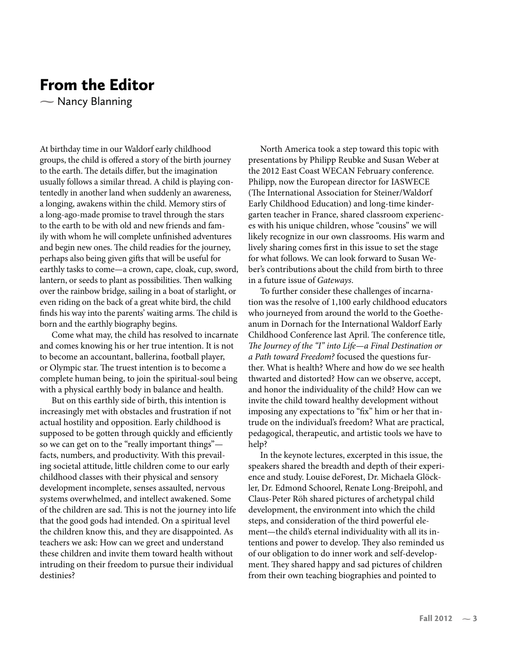## **From the Editor**

 $\sim$  Nancy Blanning

At birthday time in our Waldorf early childhood groups, the child is offered a story of the birth journey to the earth. The details differ, but the imagination usually follows a similar thread. A child is playing contentedly in another land when suddenly an awareness, a longing, awakens within the child. Memory stirs of a long-ago-made promise to travel through the stars to the earth to be with old and new friends and family with whom he will complete unfinished adventures and begin new ones. The child readies for the journey, perhaps also being given gifts that will be useful for earthly tasks to come-a crown, cape, cloak, cup, sword, lantern, or seeds to plant as possibilities. Then walking over the rainbow bridge, sailing in a boat of starlight, or even riding on the back of a great white bird, the child finds his way into the parents' waiting arms. The child is born and the earthly biography begins.

Come what may, the child has resolved to incarnate and comes knowing his or her true intention. It is not to become an accountant, ballerina, football player, or Olympic star. The truest intention is to become a complete human being, to join the spiritual-soul being with a physical earthly body in balance and health.

But on this earthly side of birth, this intention is increasingly met with obstacles and frustration if not actual hostility and opposition. Early childhood is supposed to be gotten through quickly and efficiently so we can get on to the "really important things"facts, numbers, and productivity. With this prevailing societal attitude, little children come to our early childhood classes with their physical and sensory development incomplete, senses assaulted, nervous systems overwhelmed, and intellect awakened. Some of the children are sad. This is not the journey into life that the good gods had intended. On a spiritual level the children know this, and they are disappointed. As teachers we ask: How can we greet and understand these children and invite them toward health without intruding on their freedom to pursue their individual destinies?

North America took a step toward this topic with presentations by Philipp Reubke and Susan Weber at the 2012 East Coast WECAN February conference. Philipp, now the European director for IASWECE (The International Association for Steiner/Waldorf) Early Childhood Education) and long-time kindergarten teacher in France, shared classroom experiences with his unique children, whose "cousins" we will likely recognize in our own classrooms. His warm and lively sharing comes first in this issue to set the stage for what follows. We can look forward to Susan Weber's contributions about the child from birth to three in a future issue of Gateways.

To further consider these challenges of incarnation was the resolve of 1,100 early childhood educators who journeyed from around the world to the Goetheanum in Dornach for the International Waldorf Early Childhood Conference last April. The conference title, The Journey of the "I" into Life-a Final Destination or a Path toward Freedom? focused the questions further. What is health? Where and how do we see health thwarted and distorted? How can we observe, accept, and honor the individuality of the child? How can we invite the child toward healthy development without imposing any expectations to "fix" him or her that intrude on the individual's freedom? What are practical, pedagogical, therapeutic, and artistic tools we have to help?

In the keynote lectures, excerpted in this issue, the speakers shared the breadth and depth of their experience and study. Louise deForest, Dr. Michaela Glöckler, Dr. Edmond Schoorel, Renate Long-Breipohl, and Claus-Peter Röh shared pictures of archetypal child development, the environment into which the child steps, and consideration of the third powerful element-the child's eternal individuality with all its intentions and power to develop. They also reminded us of our obligation to do inner work and self-development. They shared happy and sad pictures of children from their own teaching biographies and pointed to